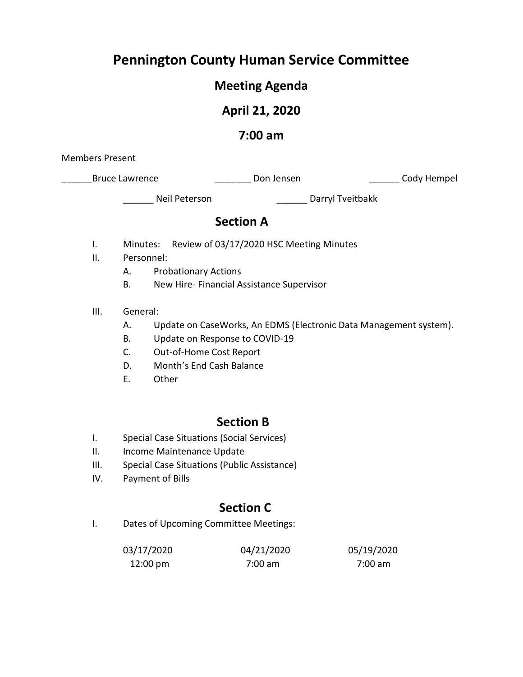# **Pennington County Human Service Committee**

# **Meeting Agenda**

# **April 21, 2020**

# **7:00 am**

Members Present

\_Bruce Lawrence \_\_\_\_\_\_\_\_\_\_\_\_\_\_\_\_\_\_\_\_\_\_\_\_Don Jensen \_\_\_\_\_\_\_\_\_\_\_\_\_\_\_\_\_\_\_\_\_\_\_Cody Hempel

\_\_\_\_\_\_ Neil Peterson \_\_\_\_\_\_ Darryl Tveitbakk

## **Section A**

- I. Minutes: Review of 03/17/2020 HSC Meeting Minutes
- II. Personnel:
	- A. Probationary Actions
	- B. New Hire- Financial Assistance Supervisor
- III. General:
	- A. Update on CaseWorks, An EDMS (Electronic Data Management system).
	- B. Update on Response to COVID-19
	- C. Out-of-Home Cost Report
	- D. Month's End Cash Balance
	- E. Other

## **Section B**

- I. Special Case Situations (Social Services)
- II. Income Maintenance Update
- III. Special Case Situations (Public Assistance)
- IV. Payment of Bills

# **Section C**

I. Dates of Upcoming Committee Meetings:

| 03/17/2020         | 04/21/2020 | 05/19/2020 |
|--------------------|------------|------------|
| $12:00 \text{ pm}$ | 7:00 am    | 7:00 am    |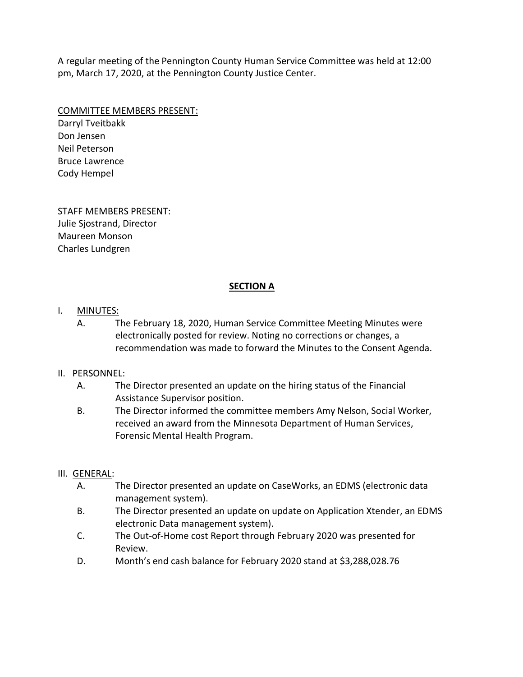A regular meeting of the Pennington County Human Service Committee was held at 12:00 pm, March 17, 2020, at the Pennington County Justice Center.

#### COMMITTEE MEMBERS PRESENT:

Darryl Tveitbakk Don Jensen Neil Peterson Bruce Lawrence Cody Hempel

#### STAFF MEMBERS PRESENT:

Julie Sjostrand, Director Maureen Monson Charles Lundgren

#### **SECTION A**

#### I. **MINUTES:**

A. The February 18, 2020, Human Service Committee Meeting Minutes were electronically posted for review. Noting no corrections or changes, a recommendation was made to forward the Minutes to the Consent Agenda.

#### II. PERSONNEL:

- A. The Director presented an update on the hiring status of the Financial Assistance Supervisor position.
- B. The Director informed the committee members Amy Nelson, Social Worker, received an award from the Minnesota Department of Human Services, Forensic Mental Health Program.

#### III. GENERAL:

- A. The Director presented an update on CaseWorks, an EDMS (electronic data management system).
- B. The Director presented an update on update on Application Xtender, an EDMS electronic Data management system).
- C. The Out-of-Home cost Report through February 2020 was presented for Review.
- D. Month's end cash balance for February 2020 stand at \$3,288,028.76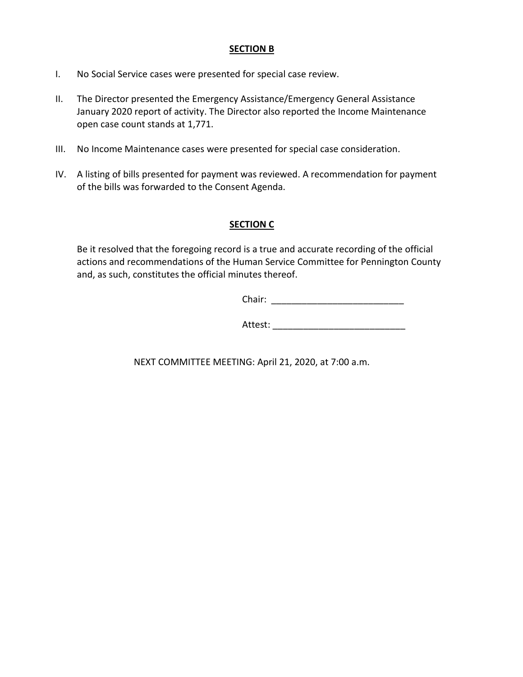#### **SECTION B**

- I. No Social Service cases were presented for special case review.
- II. The Director presented the Emergency Assistance/Emergency General Assistance January 2020 report of activity. The Director also reported the Income Maintenance open case count stands at 1,771.
- III. No Income Maintenance cases were presented for special case consideration.
- IV. A listing of bills presented for payment was reviewed. A recommendation for payment of the bills was forwarded to the Consent Agenda.

#### **SECTION C**

Be it resolved that the foregoing record is a true and accurate recording of the official actions and recommendations of the Human Service Committee for Pennington County and, as such, constitutes the official minutes thereof.

Chair: \_\_\_\_\_\_\_\_\_\_\_\_\_\_\_\_\_\_\_\_\_\_\_\_\_\_

Attest:

NEXT COMMITTEE MEETING: April 21, 2020, at 7:00 a.m.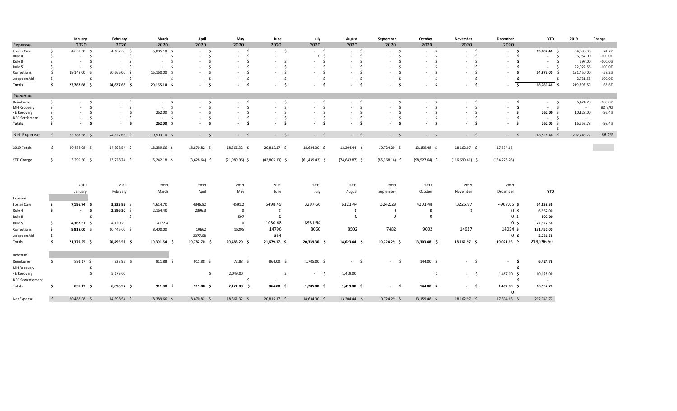|                         |            | January               | February       | March            | April             | May                    | June                   | July              | August                 | September        | October          | November                      | December                   | <b>YTD</b>       | 2019                | Change     |
|-------------------------|------------|-----------------------|----------------|------------------|-------------------|------------------------|------------------------|-------------------|------------------------|------------------|------------------|-------------------------------|----------------------------|------------------|---------------------|------------|
| Expense                 |            | 2020                  | 2020           | 2020             | 2020              | 2020                   | 2020                   | 2020              | 2020                   | 2020             | 2020             | 2020                          | 2020                       |                  |                     |            |
| Foster Care             | \$         | 4,639.68 \$           | 4,162.68 \$    | $5,005.10$ \$    | $-5$              | $-5$                   | $-5$                   | $-5$              | $-5$                   | $-5$             | $-5$             | $-5$                          | - \$                       | 13,807.46 \$     | 54,638.36           | $-74.7%$   |
| Rule 4                  | - Ś        | $-5$                  | $-5$           | $-5$             | $-5$              | $-5$                   | $\sim$                 | 0 <sup>5</sup>    | \$<br>$\sim$           | $-5$             | $-5$             | $\ddot{\mathsf{s}}$<br>$\sim$ | $-5$                       | $-5$             | 6,957.00            | $-100.0%$  |
| Rule 8                  | - Ś        | S.<br>$\sim$          | - \$           | $\sim$<br>- S    | - \$              | $\mathsf{S}$<br>$\sim$ | $-5$                   | $-5$              | - \$<br>$\sim$         | - S<br>$\sim$    | - \$             | - \$<br>$\sim$                | $\sim$ \$                  | $-5$             | 597.00              | $-100.0\%$ |
| Rule 5                  | - Ś        | - Ś                   | $-5$           | - S<br>$\sim$    | - \$              | S.<br>$\sim$           | $\mathsf{S}$<br>$\sim$ | $-5$              | - \$<br>$\sim$         | - S<br>$\sim$    | - \$             | - Ś                           | - \$                       | $-5$             | 22,922.56           | $-100.0\%$ |
| Corrections             |            | 19,148.00 \$          | 20,665.00 \$   | 15,160.00 \$     | $-5$              | $\sim$<br>$\sim$       | $-5$                   | $-5$              | - \$<br>$\sim$         | $\sim$<br>- S    | - \$             | -Ś<br>$\sim$                  | $-5$                       | 54,973.00 \$     | 131,450.00          | $-58.2%$   |
| Adoption Aid            | -S         | S.<br><b>Contract</b> | $-5$           | $-5$             | s.<br>$\sim 100$  | - \$<br>$\sim$         | - \$<br>$\sim$         | - \$<br>$\sim$    | - \$<br>$\sim$         | S.<br>$\sim$     | - Ś<br>$\sim$    | - Ś<br>$\sim$                 | $\sim$ \$                  | $-5$             | 2,731.58            | $-100.0\%$ |
| Totals                  | s.         | 23,787.68 \$          | 24,827.68 \$   | 20,165.10 \$     | $-5$              | $-5$                   | $-5$                   | $-5$              | $-5$                   | $-5$             | $-5$             | $-5$                          | $-5$                       | 68,780.46 \$     | 219,296.50          | $-68.6%$   |
| Revenue                 |            |                       |                |                  |                   |                        |                        |                   |                        |                  |                  |                               |                            |                  |                     |            |
| Reimburse               | - Ś        | - \$<br>$\sim 100$    | $-5$           | $-5$             | $-5$              | $-5$                   | $-5$                   | $-5$              | $-5$                   | $-5$             | $-5$             | $-5$                          | $\sim$ \$                  | $-5$             | 6,424.78            | $-100.0%$  |
| MH Recovery             |            | - Ś<br>$\sim$         | $-5$           | $-5$             | $-5$              | $-5$                   | $\sim$<br>$\sim$       | $-5$              | $\mathsf{S}$<br>$\sim$ | S.<br>$\sim$     | $-5$             | S.<br>$\sim$                  | $-5$                       | $-5$             | $\sim$              | #DIV/0!    |
| 4E Recovery             |            | - \$<br>$\sim$        | - \$<br>$\sim$ | $262.00$ \$      | $-5$              | 5<br>$\sim$            | - \$<br>$\sim$         | $\sim$            | -S                     | - S<br>$\sim$    |                  | -Ś                            | $-5$                       | 262.00%          | 10,128.00           | -97.4%     |
| <b>NFC Settlement</b>   |            |                       |                | $\sim$           |                   |                        |                        |                   |                        |                  |                  |                               | -\$                        | $-5$             | $\sim$              |            |
| Totals                  | - Ś        | \$<br>$\sim$          | $\sim$<br>s.   | 262.00%          | $-5$              | - \$<br>$\sim$         | Ś.<br>$\sim$           | $-5$              | \$                     | $\sim$<br>- \$   | - \$<br>$\sim$   | - \$                          | $-5$                       | 262.00%<br>S.    | 16,552.78<br>$\sim$ | $-98.4%$   |
| Net Expense             | s.         | 23,787.68 \$          | 24,827.68 \$   | 19,903.10 \$     | $-5$              | $-5$                   | $-$ \$                 | $-5$              | $-$ \$                 | $-$ \$           | $-5$             | $-5$                          | $-5$                       | 68,518.46 \$     | 202,743.72          | $-66.2%$   |
| 2019 Totals             | - \$       | 20,488.08 \$          | 14,398.54 \$   | 18,389.66 \$     | 18,870.82 \$      | 18,361.32 \$           | 20,815.17 \$           | 18,634.30 \$      | 13,204.44 \$           | 10,724.29 \$     | 13,159.48 \$     | 18,162.97 \$                  | 17,534.65                  |                  |                     |            |
|                         |            |                       |                |                  |                   |                        |                        |                   |                        |                  |                  |                               |                            |                  |                     |            |
| <b>YTD Change</b>       | S.         | 3,299.60 \$           | 13,728.74 \$   | 15,242.18 \$     | $(3,628.64)$ \$   | $(21,989.96)$ \$       | $(42,805.13)$ \$       | $(61, 439.43)$ \$ | $(74, 643.87)$ \$      | $(85,368.16)$ \$ | $(98,527.64)$ \$ | $(116,690.61)$ \$             | (134, 225.26)              |                  |                     |            |
|                         |            |                       |                |                  |                   |                        |                        |                   |                        |                  |                  |                               |                            |                  |                     |            |
|                         |            | 2019                  | 2019           | 2019             | 2019              | 2019                   | 2019                   | 2019              | 2019                   | 2019             | 2019             | 2019                          | 2019                       |                  |                     |            |
|                         |            | January               | February       | March            | April             | May                    | June                   | July              | August                 | September        | October          | November                      | December                   | <b>YTD</b>       |                     |            |
| Expense                 |            |                       |                |                  |                   |                        |                        |                   |                        |                  |                  |                               |                            |                  |                     |            |
| Foster Care             | \$         | 7,196.74 \$           | $3,233.92$ \$  | 4,614.70         | 4346.82           | 4591.2                 | 5498.49                | 3297.66           | 6121.44                | 3242.29          | 4301.48          | 3225.97                       | 4967.65 \$                 | 54,638.36        |                     |            |
|                         |            |                       |                |                  |                   |                        |                        |                   |                        |                  |                  |                               |                            |                  |                     |            |
| Rule 4                  | -\$        | $-5$                  | $2,396.30$ \$  | 2,164.40         | 2396.3            | $\mathbf 0$            | $\mathbf 0$            |                   | $\mathbf{0}$           | $\mathbf 0$      | $\mathbf 0$      | $\mathbf 0$                   | 0 <sup>5</sup>             | 6,957.00         |                     |            |
| Rule 8                  |            | s.                    | $-5$           | $\sim$ $-$       |                   | 597                    | $\mathbf 0$            |                   | $\Omega$               | $\mathbf 0$      | $\Omega$         |                               | 0 <sup>5</sup>             | 597.00           |                     |            |
| Rule 5                  | - Ś        | 4,367.51 \$           | 4,420.29       | 4122.4           |                   | $\mathbf 0$            | 1030.68                | 8981.64           |                        |                  |                  |                               | 0 <sub>s</sub>             | 22,922.56        |                     |            |
| Corrections             | - Ś        | $9,815.00$ \$         | 10,445.00 \$   | 8,400.00         | 10662             | 15295                  | 14796                  | 8060              | 8502                   | 7482             | 9002             | 14937                         | 14054 \$                   | 131,450.00       |                     |            |
| <b>Adoption Aid</b>     | -\$        | $\sim$ $-$            |                |                  | 2377.58           |                        | 354                    |                   |                        |                  |                  |                               | 0 <sup>5</sup>             | 2,731.58         |                     |            |
| Totals                  | \$         | 21,379.25 \$          | 20,495.51 \$   | 19,301.54 \$     | 19,782.70 \$      | 20,483.20 \$           | 21,679.17 \$           | 20,339.30 \$      | 14,623.44 \$           | 10,724.29 \$     | 13,303.48 \$     | 18,162.97 \$                  | $19,021.65$ \$             | 219,296.50       |                     |            |
| Revenue                 |            |                       |                |                  |                   |                        |                        |                   |                        |                  |                  |                               |                            |                  |                     |            |
| Reimburse               | \$         | 891.17 \$             | $923.97$ \$    | $911.88 \quad $$ | $911.88 \; \;$ \$ | 72.88 \$               | 864.00 \$              | 1,705.00 \$       | $-5$                   | $-5$             | 144.00 \$        | $-5$                          | $\sim$ s                   | 6,424.78         |                     |            |
|                         |            |                       |                |                  |                   |                        |                        |                   |                        |                  |                  |                               |                            |                  |                     |            |
| MH Recovery             |            | \$                    | $\sim$         |                  |                   |                        |                        |                   |                        |                  |                  |                               | -S.                        | $\sim$ $-$       |                     |            |
| <b>4E Recovery</b>      |            | - Ś                   | 5,173.00       |                  | $\frac{1}{2}$     | 2,049.00               | $\ddot{\mathsf{S}}$    | <b>Contract</b>   | 1,419.00               |                  |                  | $-5$                          | 1,487.00 \$                | 10,128.00        |                     |            |
| <b>NFC Sewettlement</b> |            |                       |                |                  |                   |                        |                        |                   |                        |                  |                  |                               | -S                         | $\sim$ 100 $\pm$ |                     |            |
| Totals                  | s.         | $891.17$ \$           | $6,096.97$ \$  | $911.88 \quad $$ | $911.88 \quad $$  | 2,121.88 \$            | 864.00 \$              | $1,705.00$ \$     | $1,419.00$ \$          | $-5$             | 144.00 \$        | $-5$                          | 1,487.00 \$<br>$\mathbf 0$ | 16,552.78        |                     |            |
| Net Expense             | $\ddot{s}$ | 20,488.08 \$          | 14,398.54 \$   | 18,389.66 \$     | 18,870.82 \$      | 18,361.32 \$           | 20,815.17 \$           | 18,634.30 \$      | 13,204.44 \$           | 10,724.29 \$     | 13,159.48 \$     | 18,162.97 \$                  | 17,534.65 \$               | 202,743.72       |                     |            |
|                         |            |                       |                |                  |                   |                        |                        |                   |                        |                  |                  |                               |                            |                  |                     |            |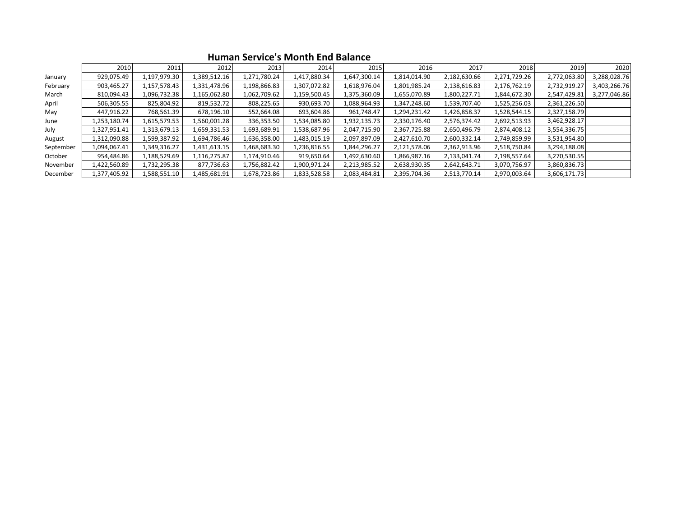|           | 2010         | 2011         | 2012         | 2013         | 2014         | 2015         | 2016         | 2017         | 2018         | 2019         | 2020         |
|-----------|--------------|--------------|--------------|--------------|--------------|--------------|--------------|--------------|--------------|--------------|--------------|
| January   | 929,075.49   | 1,197,979.30 | 1,389,512.16 | 1,271,780.24 | 1,417,880.34 | 1,647,300.14 | 1,814,014.90 | 2,182,630.66 | 2,271,729.26 | 2,772,063.80 | 3,288,028.76 |
| February  | 903,465.27   | 1,157,578.43 | 1,331,478.96 | 1,198,866.83 | 1,307,072.82 | 1,618,976.04 | 1,801,985.24 | 2,138,616.83 | 2,176,762.19 | 2,732,919.27 | 3,403,266.76 |
| March     | 810,094.43   | 1,096,732.38 | 1,165,062.80 | 1,062,709.62 | 1,159,500.45 | 1,375,360.09 | 1,655,070.89 | 1,800,227.71 | 1,844,672.30 | 2,547,429.81 | 3,277,046.86 |
| April     | 506,305.55   | 825,804.92   | 819,532.72   | 808,225.65   | 930,693.70   | 1,088,964.93 | 1,347,248.60 | 1,539,707.40 | 1,525,256.03 | 2,361,226.50 |              |
| May       | 447,916.22   | 768,561.39   | 678,196.10   | 552,664.08   | 693,604.86   | 961,748.47   | 1,294,231.42 | 1,426,858.37 | 1,528,544.15 | 2,327,158.79 |              |
| June      | 1,253,180.74 | 1,615,579.53 | 1,560,001.28 | 336,353.50   | 1,534,085.80 | 1,932,135.73 | 2,330,176.40 | 2,576,374.42 | 2,692,513.93 | 3,462,928.17 |              |
| July      | 1,327,951.41 | 1,313,679.13 | 1,659,331.53 | 1,693,689.91 | L,538,687.96 | 2,047,715.90 | 2,367,725.88 | 2,650,496.79 | 2,874,408.12 | 3,554,336.75 |              |
| August    | 1,312,090.88 | 1,599,387.92 | 1,694,786.46 | 1,636,358.00 | 1,483,015.19 | 2,097,897.09 | 2,427,610.70 | 2,600,332.14 | 2,749,859.99 | 3,531,954.80 |              |
| September | 1,094,067.41 | 1,349,316.27 | 1,431,613.15 | 1,468,683.30 | .236,816.55  | 1,844,296.27 | 2,121,578.06 | 2,362,913.96 | 2,518,750.84 | 3,294,188.08 |              |
| October   | 954,484.86   | 1,188,529.69 | 1,116,275.87 | 1,174,910.46 | 919,650.64   | 1,492,630.60 | 1,866,987.16 | 2,133,041.74 | 2,198,557.64 | 3,270,530.55 |              |
| November  | 1,422,560.89 | 1,732,295.38 | 877,736.63   | 1,756,882.42 | 1,900,971.24 | 2,213,985.52 | 2,638,930.35 | 2,642,643.71 | 3,070,756.97 | 3,860,836.73 |              |
| December  | 1,377,405.92 | 1,588,551.10 | 1,485,681.91 | 1,678,723.86 | 1,833,528.58 | 2,083,484.81 | 2,395,704.36 | 2,513,770.14 | 2,970,003.64 | 3,606,171.73 |              |

**Human Service's Month End Balance**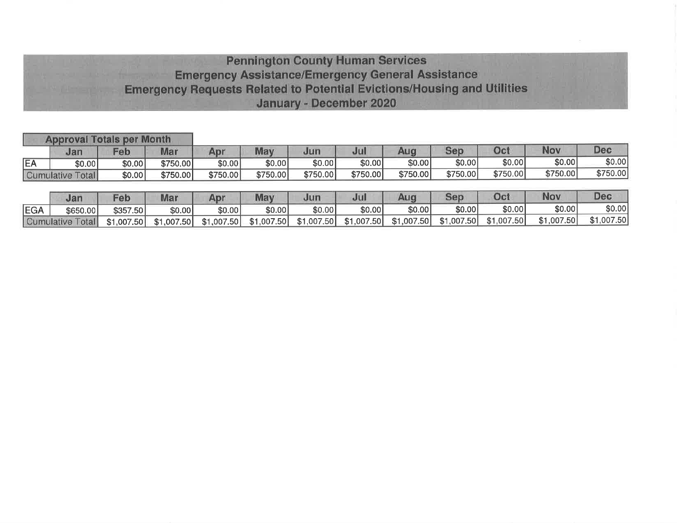# **Pennington County Human Services Emergency Assistance/Emergency General Assistance Emergency Requests Related to Potential Evictions/Housing and Utilities** January - December 2020

|            | <b>Approval Totals per Month</b> |            |            |            |            |            |            |            |            |            |            |            |
|------------|----------------------------------|------------|------------|------------|------------|------------|------------|------------|------------|------------|------------|------------|
|            | Jan                              | Feb        | Mar        | Apr        | May        | Jun        | Jul        | Aug        | Sep        | Oct        | Nov        | <b>Dec</b> |
| EA         | \$0.00                           | \$0.00]    | \$750.00   | \$0.00     | \$0.00]    | \$0.00     | \$0.00     | \$0.00     | \$0.00     | \$0.00     | \$0.00     | \$0.00     |
|            | <b>Cumulative Total</b>          | \$0.00     | \$750.00   | \$750.00   | \$750.00   | \$750.00   | \$750.00   | \$750.00   | \$750.00   | \$750.00   | \$750.00   | \$750.00]  |
|            |                                  |            |            |            |            |            |            |            |            |            |            |            |
|            | Jan                              | Feb        | Mar        | Apr        | May        | Jun        | Jul        | Aug        | Sep        | Oct        | <b>Nov</b> | <b>Dec</b> |
| <b>EGA</b> | \$650.00                         | \$357.50   | \$0.00     | \$0.00     | \$0.00     | \$0.00     | \$0.00     | \$0.00     | \$0.00     | \$0.00     | \$0.00     | \$0.00     |
|            | <b>Cumulative Total</b>          | \$1.007.50 | \$1.007.50 | \$1,007.50 | \$1,007.50 | \$1,007.50 | \$1,007.50 | \$1,007.50 | \$1,007.50 | \$1,007.50 | \$1,007.50 | \$1,007.50 |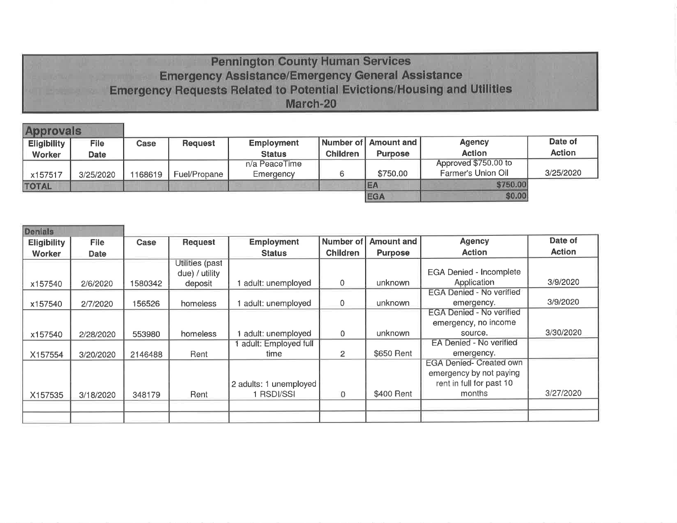# **Pennington County Human Services Emergency Assistance/Emergency General Assistance Emergency Requests Related to Potential Evictions/Housing and Utilities** March-20

| <b>Approvals</b>   |             |        |                |                   |                 |                         |                           |               |  |
|--------------------|-------------|--------|----------------|-------------------|-----------------|-------------------------|---------------------------|---------------|--|
| <b>Eligibility</b> | <b>File</b> | Case   | <b>Request</b> | <b>Employment</b> |                 | Number of LAmount and L | <b>Agency</b>             | Date of       |  |
| <b>Worker</b>      | <b>Date</b> |        |                | <b>Status</b>     | <b>Children</b> | <b>Purpose</b>          | <b>Action</b>             | <b>Action</b> |  |
|                    |             |        |                | n/a PeaceTime     |                 |                         | Approved \$750.00 to      |               |  |
| x157517            | 3/25/2020   | 168619 | Fuel/Propane   | Emergency         |                 | \$750.00                | <b>Farmer's Union Oil</b> | 3/25/2020     |  |
| <b>TOTAL</b>       |             |        |                |                   |                 | EA                      | \$750.00                  |               |  |
|                    |             |        |                |                   |                 | <b>EGA</b>              | \$0.00                    |               |  |

| <b>Denials</b>     |             |         |                 |                        |                 |                |                                 |               |
|--------------------|-------------|---------|-----------------|------------------------|-----------------|----------------|---------------------------------|---------------|
| <b>Eligibility</b> | <b>File</b> | Case    | <b>Request</b>  | <b>Employment</b>      | Number of       | Amount and     | <b>Agency</b>                   | Date of       |
| Worker             | Date        |         |                 | <b>Status</b>          | <b>Children</b> | <b>Purpose</b> | <b>Action</b>                   | <b>Action</b> |
|                    |             |         | Utilities (past |                        |                 |                |                                 |               |
|                    |             |         | due) / utility  |                        |                 |                | <b>EGA Denied - Incomplete</b>  |               |
| x157540            | 2/6/2020    | 1580342 | deposit         | adult: unemployed      | $\mathbf 0$     | unknown        | Application                     | 3/9/2020      |
|                    |             |         |                 |                        |                 |                | <b>EGA Denied - No verified</b> |               |
| x157540            | 2/7/2020    | 156526  | homeless        | adult: unemployed      | 0               | unknown        | emergency.                      | 3/9/2020      |
|                    |             |         |                 |                        |                 |                | <b>EGA Denied - No verified</b> |               |
|                    |             |         |                 |                        |                 |                | emergency, no income            |               |
| x157540            | 2/28/2020   | 553980  | homeless        | adult: unemployed      | $\Omega$        | unknown        | source.                         | 3/30/2020     |
|                    |             |         |                 | adult: Employed full   |                 |                | EA Denied - No verified         |               |
| X157554            | 3/20/2020   | 2146488 | Rent            | time                   | 2               | \$650 Rent     | emergency.                      |               |
|                    |             |         |                 |                        |                 |                | <b>EGA Denied- Created own</b>  |               |
|                    |             |         |                 |                        |                 |                | emergency by not paying         |               |
|                    |             |         |                 | 2 adults: 1 unemployed |                 |                | rent in full for past 10        |               |
| X157535            | 3/18/2020   | 348179  | Rent            | <b>RSDI/SSI</b>        | $\mathbf{0}$    | \$400 Rent     | months                          | 3/27/2020     |
|                    |             |         |                 |                        |                 |                |                                 |               |
|                    |             |         |                 |                        |                 |                |                                 |               |
|                    |             |         |                 |                        |                 |                |                                 |               |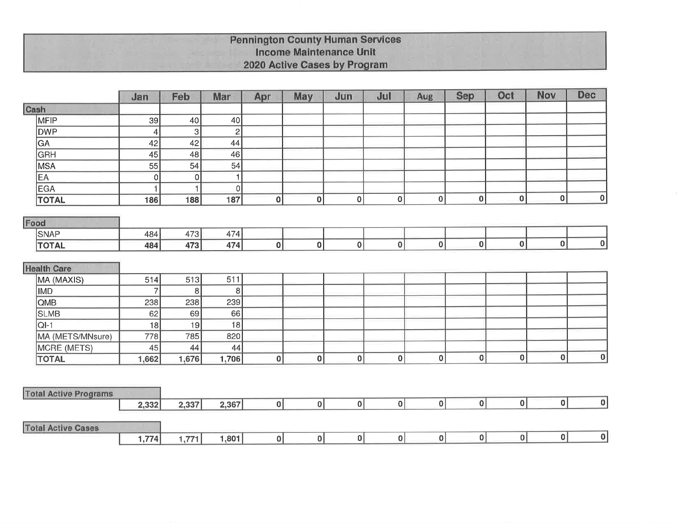# **Pennington County Human Services<br>Income Maintenance Unit** 2020 Active Cases by Program

|                              | Jan   | Feb               | Mar               | Apr         | May      | Jun            | Jul          | Aug      | <b>Sep</b> | Oct          | Nov         | <b>Dec</b>       |
|------------------------------|-------|-------------------|-------------------|-------------|----------|----------------|--------------|----------|------------|--------------|-------------|------------------|
| Cash                         |       |                   |                   |             |          |                |              |          |            |              |             |                  |
| MFIP                         | 39    | 40                | 40                |             |          |                |              |          |            |              |             |                  |
| <b>DWP</b>                   | 4     | 3                 | $\overline{c}$    |             |          |                |              |          |            |              |             |                  |
| GA                           | 42    | 42                | 44                |             |          |                |              |          |            |              |             |                  |
| <b>GRH</b>                   | 45    | 48                | 46                |             |          |                |              |          |            |              |             |                  |
| <b>MSA</b>                   | 55    | 54                | 54                |             |          |                |              |          |            |              |             |                  |
| EA                           | 0     | $\overline{0}$    | 1                 |             |          |                |              |          |            |              |             |                  |
| <b>EGA</b>                   |       | 1                 | 0                 |             |          |                |              |          |            |              |             |                  |
| <b>TOTAL</b>                 | 186   | 188               | 187               | $\mathbf 0$ | $\bf{0}$ | $\mathbf{0}$   | $\pmb{0}$    | 0        | $\bf{0}$   | $\mathbf{0}$ | $\mathbf 0$ | 0                |
| Food                         |       |                   |                   |             |          |                |              |          |            |              |             |                  |
| <b>SNAP</b>                  | 484   | 473               | 474               |             |          |                |              |          |            |              |             |                  |
| <b>TOTAL</b>                 | 484   | 473               | 474               | $\pmb{0}$   | $\bf{0}$ | 0              | $\mathbf 0$  | 0        | $\bf{0}$   | $\mathbf{0}$ | 0           | 0                |
|                              |       |                   |                   |             |          |                |              |          |            |              |             |                  |
| <b>Health Care</b>           |       |                   |                   |             |          |                |              |          |            |              |             |                  |
| MA (MAXIS)                   | 514   | 513               | 511               |             |          |                |              |          |            |              |             |                  |
| <b>IMD</b>                   | 7     | $\lvert 8 \rvert$ | $\lvert 8 \rvert$ |             |          |                |              |          |            |              |             |                  |
| QMB                          | 238   | 238               | 239               |             |          |                |              |          |            |              |             |                  |
| <b>SLMB</b>                  | 62    | 69                | 66                |             |          |                |              |          |            |              |             |                  |
| $QI-1$                       | 18    | 19                | 18                |             |          |                |              |          |            |              |             |                  |
| MA (METS/MNsure)             | 778   | 785               | 820               |             |          |                |              |          |            |              |             |                  |
| MCRE (METS)                  | 45    | 44                | 44                |             |          |                |              |          |            |              |             |                  |
| <b>TOTAL</b>                 | 1,662 | 1,676             | 1,706             | $\bf{0}$    | $\bf{0}$ | $\mathbf{0}$   | $\mathbf{0}$ | $\bf{0}$ | 0          | $\bf{0}$     | 0           | $\boldsymbol{0}$ |
|                              |       |                   |                   |             |          |                |              |          |            |              |             |                  |
| <b>Total Active Programs</b> |       |                   |                   |             |          |                |              |          |            |              |             |                  |
|                              | 2,332 | 2,337             | 2,367             | 0           | 0        | $\overline{0}$ | 0            | 0        | 0          | 0            | 0           | 0                |
| <b>Total Active Cases</b>    |       |                   |                   |             |          |                |              |          |            |              |             |                  |
|                              | 1,774 | 1,771             | 1,801             | 0           | 0        | 0              | 0            | 0        | 0          | 0            | 0           | 0                |